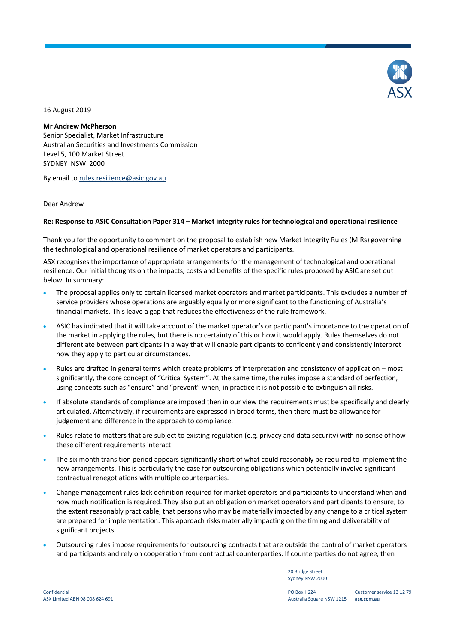

16 August 2019

# **Mr Andrew McPherson**

Senior Specialist, Market Infrastructure Australian Securities and Investments Commission Level 5, 100 Market Street SYDNEY NSW 2000

By email to rules.resilience@asic.gov.au

### Dear Andrew

### **Re: Response to ASIC Consultation Paper 314 – Market integrity rules for technological and operational resilience**

Thank you for the opportunity to comment on the proposal to establish new Market Integrity Rules (MIRs) governing the technological and operational resilience of market operators and participants.

ASX recognises the importance of appropriate arrangements for the management of technological and operational resilience. Our initial thoughts on the impacts, costs and benefits of the specific rules proposed by ASIC are set out below. In summary:

- The proposal applies only to certain licensed market operators and market participants. This excludes a number of service providers whose operations are arguably equally or more significant to the functioning of Australia's financial markets. This leave a gap that reduces the effectiveness of the rule framework.
- ASIC has indicated that it will take account of the market operator's or participant's importance to the operation of the market in applying the rules, but there is no certainty of this or how it would apply. Rules themselves do not differentiate between participants in a way that will enable participants to confidently and consistently interpret how they apply to particular circumstances.
- Rules are drafted in general terms which create problems of interpretation and consistency of application most significantly, the core concept of "Critical System". At the same time, the rules impose a standard of perfection, using concepts such as "ensure" and "prevent" when, in practice it is not possible to extinguish all risks.
- If absolute standards of compliance are imposed then in our view the requirements must be specifically and clearly articulated. Alternatively, if requirements are expressed in broad terms, then there must be allowance for judgement and difference in the approach to compliance.
- Rules relate to matters that are subject to existing regulation (e.g. privacy and data security) with no sense of how these different requirements interact.
- The six month transition period appears significantly short of what could reasonably be required to implement the new arrangements. This is particularly the case for outsourcing obligations which potentially involve significant contractual renegotiations with multiple counterparties.
- Change management rules lack definition required for market operators and participants to understand when and how much notification is required. They also put an obligation on market operators and participants to ensure, to the extent reasonably practicable, that persons who may be materially impacted by any change to a critical system are prepared for implementation. This approach risks materially impacting on the timing and deliverability of significant projects.
- Outsourcing rules impose requirements for outsourcing contracts that are outside the control of market operators and participants and rely on cooperation from contractual counterparties. If counterparties do not agree, then

20 Bridge Street Sydney NSW 2000

PO Box H224 Australia Square NSW 1215 **asx.com.au**

Customer service 13 12 79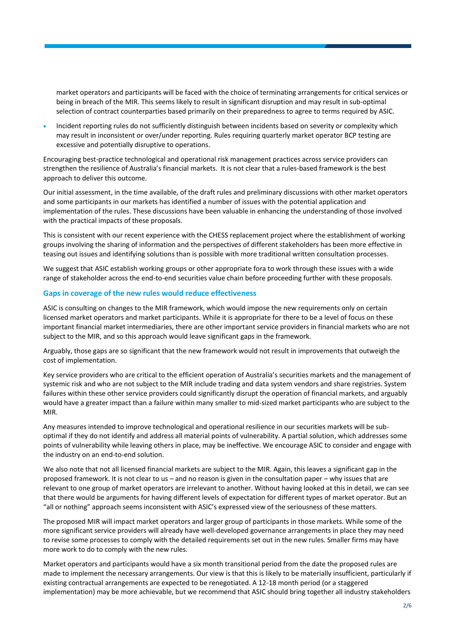market operators and participants will be faced with the choice of terminating arrangements for critical services or being in breach of the MIR. This seems likely to result in significant disruption and may result in sub-optimal selection of contract counterparties based primarily on their preparedness to agree to terms required by ASIC.

 Incident reporting rules do not sufficiently distinguish between incidents based on severity or complexity which may result in inconsistent or over/under reporting. Rules requiring quarterly market operator BCP testing are excessive and potentially disruptive to operations.

Encouraging best-practice technological and operational risk management practices across service providers can strengthen the resilience of Australia's financial markets. It is not clear that a rules-based framework is the best approach to deliver this outcome.

Our initial assessment, in the time available, of the draft rules and preliminary discussions with other market operators and some participants in our markets has identified a number of issues with the potential application and implementation of the rules. These discussions have been valuable in enhancing the understanding of those involved with the practical impacts of these proposals.

This is consistent with our recent experience with the CHESS replacement project where the establishment of working groups involving the sharing of information and the perspectives of different stakeholders has been more effective in teasing out issues and identifying solutions than is possible with more traditional written consultation processes.

We suggest that ASIC establish working groups or other appropriate fora to work through these issues with a wide range of stakeholder across the end-to-end securities value chain before proceeding further with these proposals.

### **Gaps in coverage of the new rules would reduce effectiveness**

ASIC is consulting on changes to the MIR framework, which would impose the new requirements only on certain licensed market operators and market participants. While it is appropriate for there to be a level of focus on these important financial market intermediaries, there are other important service providers in financial markets who are not subject to the MIR, and so this approach would leave significant gaps in the framework.

Arguably, those gaps are so significant that the new framework would not result in improvements that outweigh the cost of implementation.

Key service providers who are critical to the efficient operation of Australia's securities markets and the management of systemic risk and who are not subject to the MIR include trading and data system vendors and share registries. System failures within these other service providers could significantly disrupt the operation of financial markets, and arguably would have a greater impact than a failure within many smaller to mid-sized market participants who are subject to the MIR.

Any measures intended to improve technological and operational resilience in our securities markets will be suboptimal if they do not identify and address all material points of vulnerability. A partial solution, which addresses some points of vulnerability while leaving others in place, may be ineffective. We encourage ASIC to consider and engage with the industry on an end-to-end solution.

We also note that not all licensed financial markets are subject to the MIR. Again, this leaves a significant gap in the proposed framework. It is not clear to us – and no reason is given in the consultation paper – why issues that are relevant to one group of market operators are irrelevant to another. Without having looked at this in detail, we can see that there would be arguments for having different levels of expectation for different types of market operator. But an "all or nothing" approach seems inconsistent with ASIC's expressed view of the seriousness of these matters.

The proposed MIR will impact market operators and larger group of participants in those markets. While some of the more significant service providers will already have well-developed governance arrangements in place they may need to revise some processes to comply with the detailed requirements set out in the new rules. Smaller firms may have more work to do to comply with the new rules.

Market operators and participants would have a six month transitional period from the date the proposed rules are made to implement the necessary arrangements. Our view is that this is likely to be materially insufficient, particularly if existing contractual arrangements are expected to be renegotiated. A 12-18 month period (or a staggered implementation) may be more achievable, but we recommend that ASIC should bring together all industry stakeholders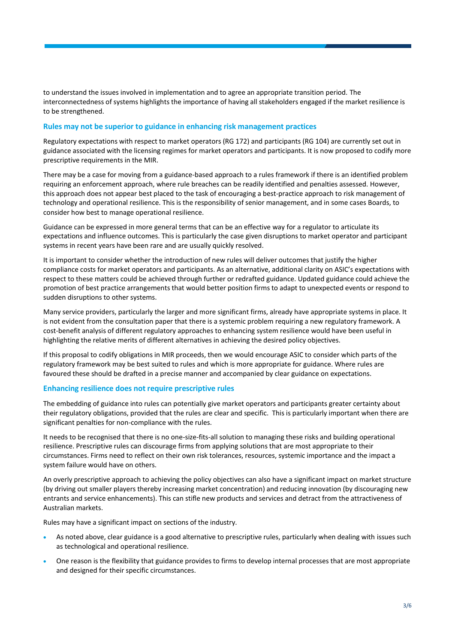to understand the issues involved in implementation and to agree an appropriate transition period. The interconnectedness of systems highlights the importance of having all stakeholders engaged if the market resilience is to be strengthened.

## **Rules may not be superior to guidance in enhancing risk management practices**

Regulatory expectations with respect to market operators (RG 172) and participants (RG 104) are currently set out in guidance associated with the licensing regimes for market operators and participants. It is now proposed to codify more prescriptive requirements in the MIR.

There may be a case for moving from a guidance-based approach to a rules framework if there is an identified problem requiring an enforcement approach, where rule breaches can be readily identified and penalties assessed. However, this approach does not appear best placed to the task of encouraging a best-practice approach to risk management of technology and operational resilience. This is the responsibility of senior management, and in some cases Boards, to consider how best to manage operational resilience.

Guidance can be expressed in more general terms that can be an effective way for a regulator to articulate its expectations and influence outcomes. This is particularly the case given disruptions to market operator and participant systems in recent years have been rare and are usually quickly resolved.

It is important to consider whether the introduction of new rules will deliver outcomes that justify the higher compliance costs for market operators and participants. As an alternative, additional clarity on ASIC's expectations with respect to these matters could be achieved through further or redrafted guidance. Updated guidance could achieve the promotion of best practice arrangements that would better position firms to adapt to unexpected events or respond to sudden disruptions to other systems.

Many service providers, particularly the larger and more significant firms, already have appropriate systems in place. It is not evident from the consultation paper that there is a systemic problem requiring a new regulatory framework. A cost-benefit analysis of different regulatory approaches to enhancing system resilience would have been useful in highlighting the relative merits of different alternatives in achieving the desired policy objectives.

If this proposal to codify obligations in MIR proceeds, then we would encourage ASIC to consider which parts of the regulatory framework may be best suited to rules and which is more appropriate for guidance. Where rules are favoured these should be drafted in a precise manner and accompanied by clear guidance on expectations.

# **Enhancing resilience does not require prescriptive rules**

The embedding of guidance into rules can potentially give market operators and participants greater certainty about their regulatory obligations, provided that the rules are clear and specific. This is particularly important when there are significant penalties for non-compliance with the rules.

It needs to be recognised that there is no one-size-fits-all solution to managing these risks and building operational resilience. Prescriptive rules can discourage firms from applying solutions that are most appropriate to their circumstances. Firms need to reflect on their own risk tolerances, resources, systemic importance and the impact a system failure would have on others.

An overly prescriptive approach to achieving the policy objectives can also have a significant impact on market structure (by driving out smaller players thereby increasing market concentration) and reducing innovation (by discouraging new entrants and service enhancements). This can stifle new products and services and detract from the attractiveness of Australian markets.

Rules may have a significant impact on sections of the industry.

- As noted above, clear guidance is a good alternative to prescriptive rules, particularly when dealing with issues such as technological and operational resilience.
- One reason is the flexibility that guidance provides to firms to develop internal processes that are most appropriate and designed for their specific circumstances.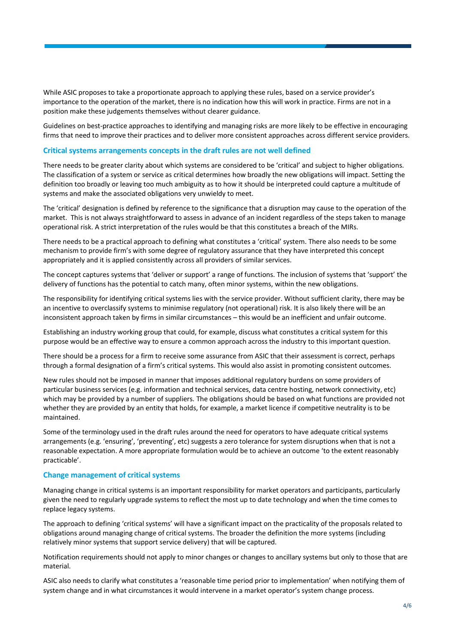While ASIC proposes to take a proportionate approach to applying these rules, based on a service provider's importance to the operation of the market, there is no indication how this will work in practice. Firms are not in a position make these judgements themselves without clearer guidance.

Guidelines on best-practice approaches to identifying and managing risks are more likely to be effective in encouraging firms that need to improve their practices and to deliver more consistent approaches across different service providers.

#### **Critical systems arrangements concepts in the draft rules are not well defined**

There needs to be greater clarity about which systems are considered to be 'critical' and subject to higher obligations. The classification of a system or service as critical determines how broadly the new obligations will impact. Setting the definition too broadly or leaving too much ambiguity as to how it should be interpreted could capture a multitude of systems and make the associated obligations very unwieldy to meet.

The 'critical' designation is defined by reference to the significance that a disruption may cause to the operation of the market. This is not always straightforward to assess in advance of an incident regardless of the steps taken to manage operational risk. A strict interpretation of the rules would be that this constitutes a breach of the MIRs.

There needs to be a practical approach to defining what constitutes a 'critical' system. There also needs to be some mechanism to provide firm's with some degree of regulatory assurance that they have interpreted this concept appropriately and it is applied consistently across all providers of similar services.

The concept captures systems that 'deliver or support' a range of functions. The inclusion of systems that 'support' the delivery of functions has the potential to catch many, often minor systems, within the new obligations.

The responsibility for identifying critical systems lies with the service provider. Without sufficient clarity, there may be an incentive to overclassify systems to minimise regulatory (not operational) risk. It is also likely there will be an inconsistent approach taken by firms in similar circumstances – this would be an inefficient and unfair outcome.

Establishing an industry working group that could, for example, discuss what constitutes a critical system for this purpose would be an effective way to ensure a common approach across the industry to this important question.

There should be a process for a firm to receive some assurance from ASIC that their assessment is correct, perhaps through a formal designation of a firm's critical systems. This would also assist in promoting consistent outcomes.

New rules should not be imposed in manner that imposes additional regulatory burdens on some providers of particular business services (e.g. information and technical services, data centre hosting, network connectivity, etc) which may be provided by a number of suppliers. The obligations should be based on what functions are provided not whether they are provided by an entity that holds, for example, a market licence if competitive neutrality is to be maintained.

Some of the terminology used in the draft rules around the need for operators to have adequate critical systems arrangements (e.g. 'ensuring', 'preventing', etc) suggests a zero tolerance for system disruptions when that is not a reasonable expectation. A more appropriate formulation would be to achieve an outcome 'to the extent reasonably practicable'.

#### **Change management of critical systems**

Managing change in critical systems is an important responsibility for market operators and participants, particularly given the need to regularly upgrade systems to reflect the most up to date technology and when the time comes to replace legacy systems.

The approach to defining 'critical systems' will have a significant impact on the practicality of the proposals related to obligations around managing change of critical systems. The broader the definition the more systems (including relatively minor systems that support service delivery) that will be captured.

Notification requirements should not apply to minor changes or changes to ancillary systems but only to those that are material.

ASIC also needs to clarify what constitutes a 'reasonable time period prior to implementation' when notifying them of system change and in what circumstances it would intervene in a market operator's system change process.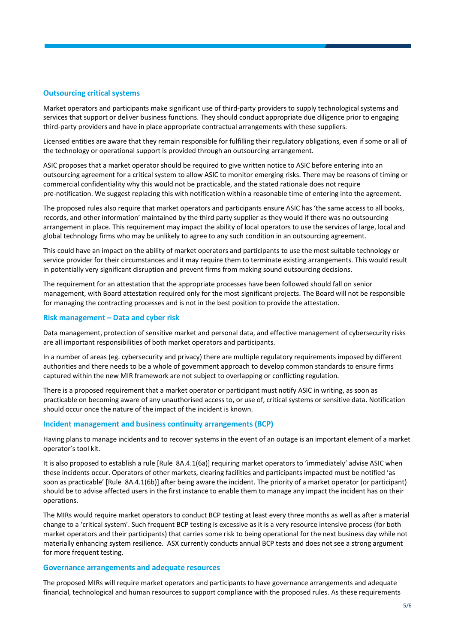## **Outsourcing critical systems**

Market operators and participants make significant use of third-party providers to supply technological systems and services that support or deliver business functions. They should conduct appropriate due diligence prior to engaging third-party providers and have in place appropriate contractual arrangements with these suppliers.

Licensed entities are aware that they remain responsible for fulfilling their regulatory obligations, even if some or all of the technology or operational support is provided through an outsourcing arrangement.

ASIC proposes that a market operator should be required to give written notice to ASIC before entering into an outsourcing agreement for a critical system to allow ASIC to monitor emerging risks. There may be reasons of timing or commercial confidentiality why this would not be practicable, and the stated rationale does not require pre-notification. We suggest replacing this with notification within a reasonable time of entering into the agreement.

The proposed rules also require that market operators and participants ensure ASIC has 'the same access to all books, records, and other information' maintained by the third party supplier as they would if there was no outsourcing arrangement in place. This requirement may impact the ability of local operators to use the services of large, local and global technology firms who may be unlikely to agree to any such condition in an outsourcing agreement.

This could have an impact on the ability of market operators and participants to use the most suitable technology or service provider for their circumstances and it may require them to terminate existing arrangements. This would result in potentially very significant disruption and prevent firms from making sound outsourcing decisions.

The requirement for an attestation that the appropriate processes have been followed should fall on senior management, with Board attestation required only for the most significant projects. The Board will not be responsible for managing the contracting processes and is not in the best position to provide the attestation.

#### **Risk management – Data and cyber risk**

Data management, protection of sensitive market and personal data, and effective management of cybersecurity risks are all important responsibilities of both market operators and participants.

In a number of areas (eg. cybersecurity and privacy) there are multiple regulatory requirements imposed by different authorities and there needs to be a whole of government approach to develop common standards to ensure firms captured within the new MIR framework are not subject to overlapping or conflicting regulation.

There is a proposed requirement that a market operator or participant must notify ASIC in writing, as soon as practicable on becoming aware of any unauthorised access to, or use of, critical systems or sensitive data. Notification should occur once the nature of the impact of the incident is known.

#### **Incident management and business continuity arrangements (BCP)**

Having plans to manage incidents and to recover systems in the event of an outage is an important element of a market operator's tool kit.

It is also proposed to establish a rule [Rule 8A.4.1(6a)] requiring market operators to 'immediately' advise ASIC when these incidents occur. Operators of other markets, clearing facilities and participants impacted must be notified 'as soon as practicable' [Rule 8A.4.1(6b)] after being aware the incident. The priority of a market operator (or participant) should be to advise affected users in the first instance to enable them to manage any impact the incident has on their operations.

The MIRs would require market operators to conduct BCP testing at least every three months as well as after a material change to a 'critical system'. Such frequent BCP testing is excessive as it is a very resource intensive process (for both market operators and their participants) that carries some risk to being operational for the next business day while not materially enhancing system resilience. ASX currently conducts annual BCP tests and does not see a strong argument for more frequent testing.

#### **Governance arrangements and adequate resources**

The proposed MIRs will require market operators and participants to have governance arrangements and adequate financial, technological and human resources to support compliance with the proposed rules. As these requirements